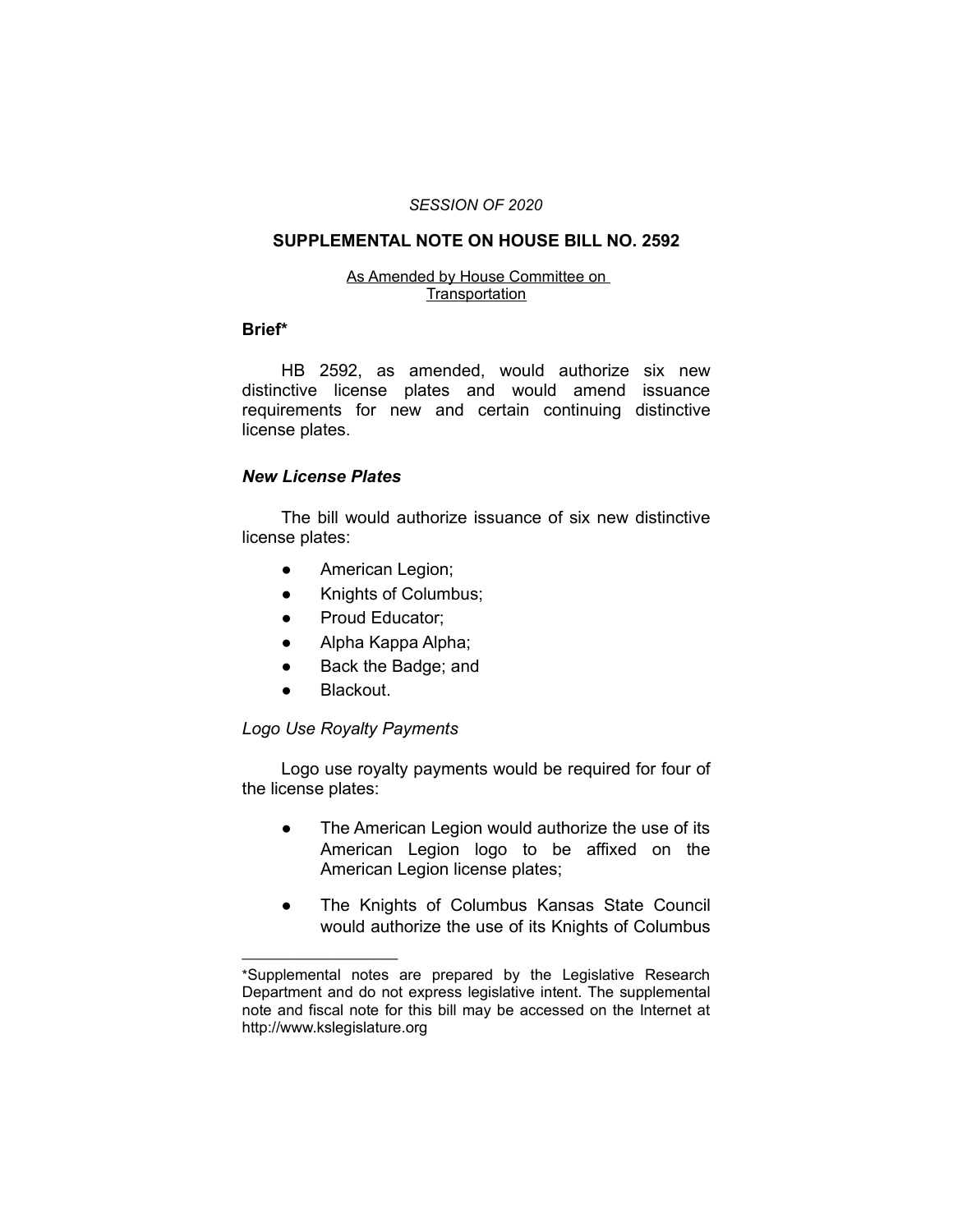#### *SESSION OF 2020*

# **SUPPLEMENTAL NOTE ON HOUSE BILL NO. 2592**

#### As Amended by House Committee on **Transportation**

#### **Brief\***

HB 2592, as amended, would authorize six new distinctive license plates and would amend issuance requirements for new and certain continuing distinctive license plates.

## *New License Plates*

The bill would authorize issuance of six new distinctive license plates:

- **•** American Legion;
- Knights of Columbus;
- Proud Educator:
- Alpha Kappa Alpha;
- Back the Badge; and
- Blackout.

 $\overline{\phantom{a}}$  , where  $\overline{\phantom{a}}$  , where  $\overline{\phantom{a}}$ 

## *Logo Use Royalty Payments*

Logo use royalty payments would be required for four of the license plates:

- The American Legion would authorize the use of its American Legion logo to be affixed on the American Legion license plates;
- The Knights of Columbus Kansas State Council would authorize the use of its Knights of Columbus

<sup>\*</sup>Supplemental notes are prepared by the Legislative Research Department and do not express legislative intent. The supplemental note and fiscal note for this bill may be accessed on the Internet at http://www.kslegislature.org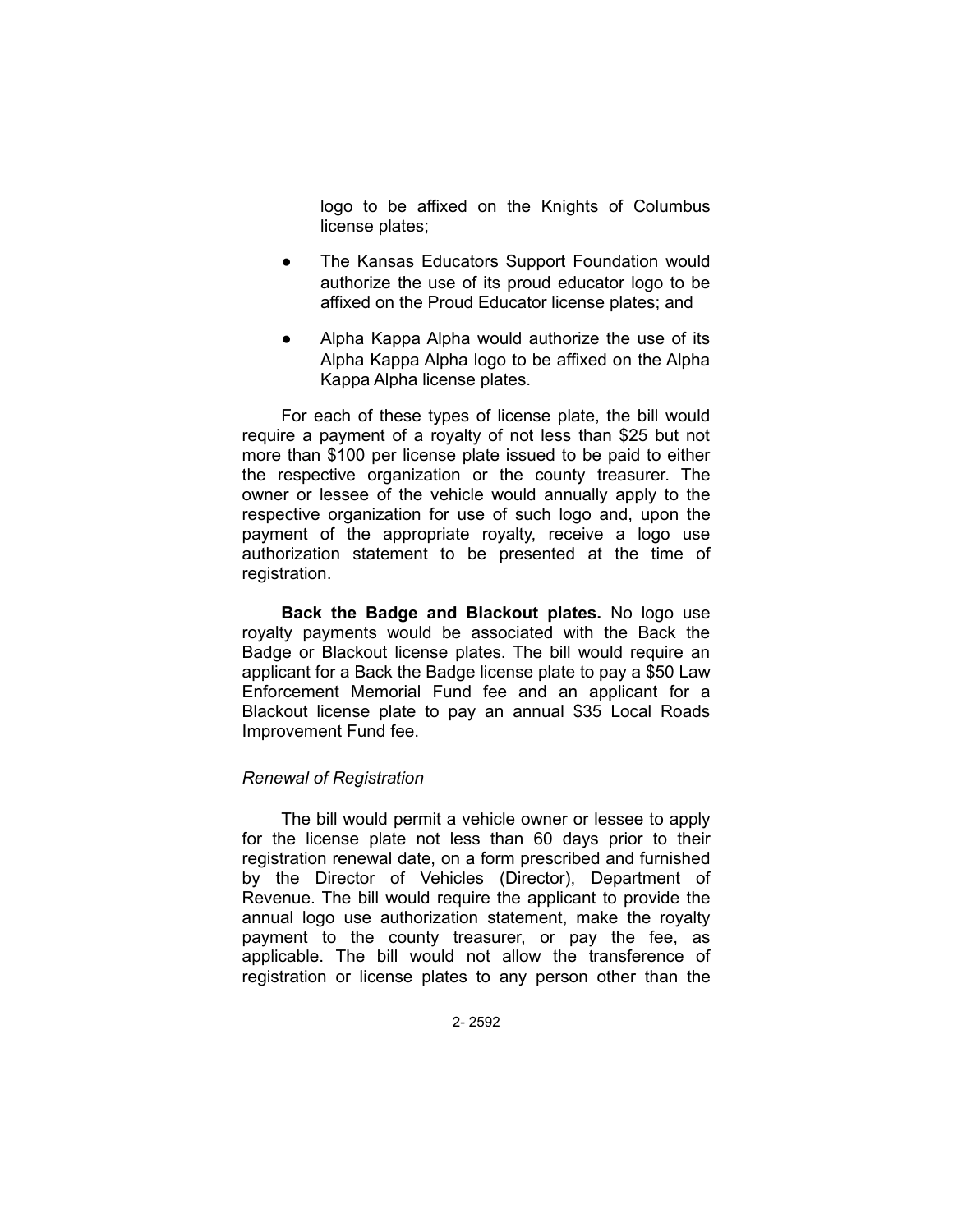logo to be affixed on the Knights of Columbus license plates;

- The Kansas Educators Support Foundation would authorize the use of its proud educator logo to be affixed on the Proud Educator license plates; and
- Alpha Kappa Alpha would authorize the use of its Alpha Kappa Alpha logo to be affixed on the Alpha Kappa Alpha license plates.

For each of these types of license plate, the bill would require a payment of a royalty of not less than \$25 but not more than \$100 per license plate issued to be paid to either the respective organization or the county treasurer. The owner or lessee of the vehicle would annually apply to the respective organization for use of such logo and, upon the payment of the appropriate royalty, receive a logo use authorization statement to be presented at the time of registration.

**Back the Badge and Blackout plates.** No logo use royalty payments would be associated with the Back the Badge or Blackout license plates. The bill would require an applicant for a Back the Badge license plate to pay a \$50 Law Enforcement Memorial Fund fee and an applicant for a Blackout license plate to pay an annual \$35 Local Roads Improvement Fund fee.

## *Renewal of Registration*

The bill would permit a vehicle owner or lessee to apply for the license plate not less than 60 days prior to their registration renewal date, on a form prescribed and furnished by the Director of Vehicles (Director), Department of Revenue. The bill would require the applicant to provide the annual logo use authorization statement, make the royalty payment to the county treasurer, or pay the fee, as applicable. The bill would not allow the transference of registration or license plates to any person other than the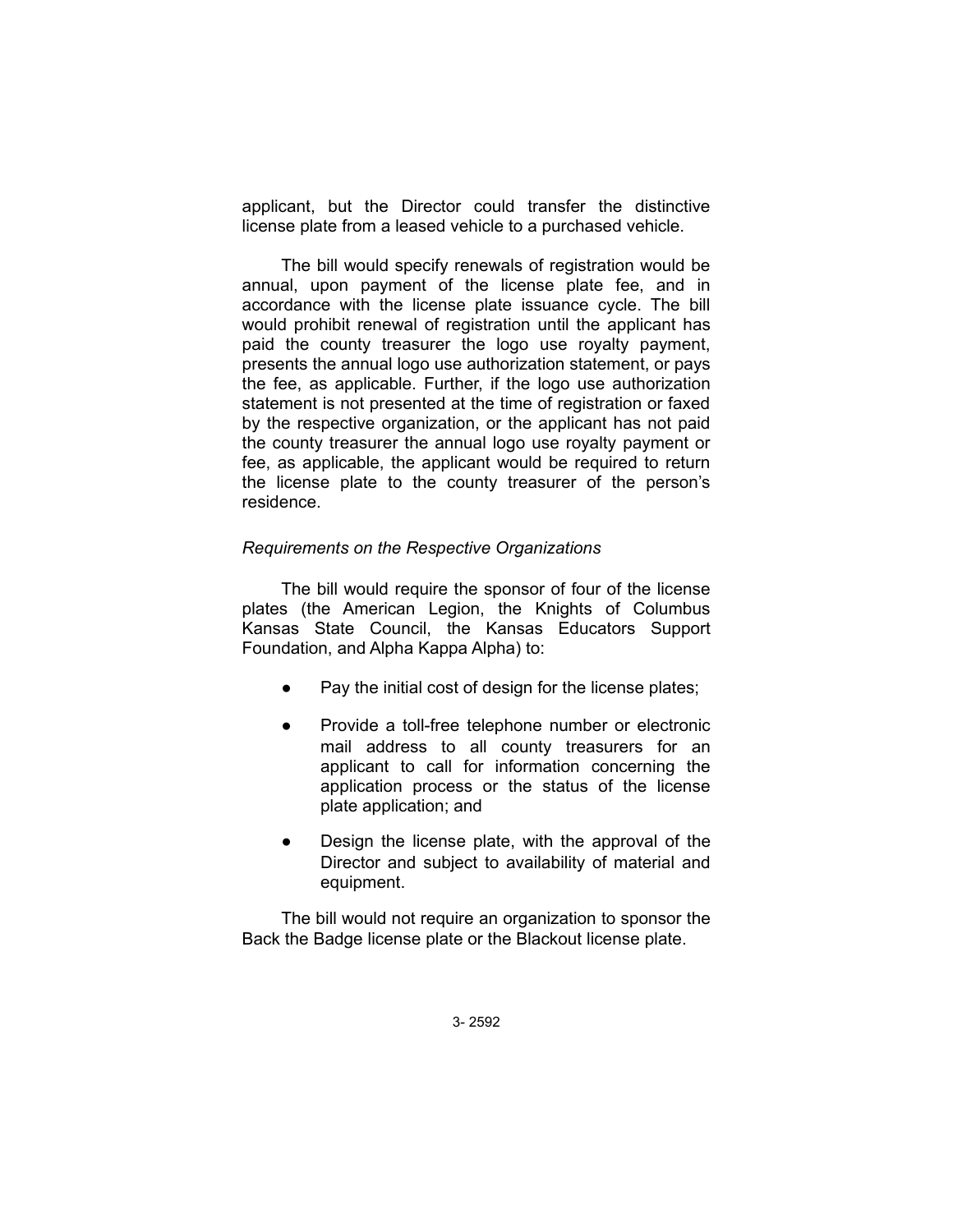applicant, but the Director could transfer the distinctive license plate from a leased vehicle to a purchased vehicle.

The bill would specify renewals of registration would be annual, upon payment of the license plate fee, and in accordance with the license plate issuance cycle. The bill would prohibit renewal of registration until the applicant has paid the county treasurer the logo use royalty payment, presents the annual logo use authorization statement, or pays the fee, as applicable. Further, if the logo use authorization statement is not presented at the time of registration or faxed by the respective organization, or the applicant has not paid the county treasurer the annual logo use royalty payment or fee, as applicable, the applicant would be required to return the license plate to the county treasurer of the person's residence.

#### *Requirements on the Respective Organizations*

The bill would require the sponsor of four of the license plates (the American Legion, the Knights of Columbus Kansas State Council, the Kansas Educators Support Foundation, and Alpha Kappa Alpha) to:

- Pay the initial cost of design for the license plates;
- Provide a toll-free telephone number or electronic mail address to all county treasurers for an applicant to call for information concerning the application process or the status of the license plate application; and
- Design the license plate, with the approval of the Director and subject to availability of material and equipment.

The bill would not require an organization to sponsor the Back the Badge license plate or the Blackout license plate.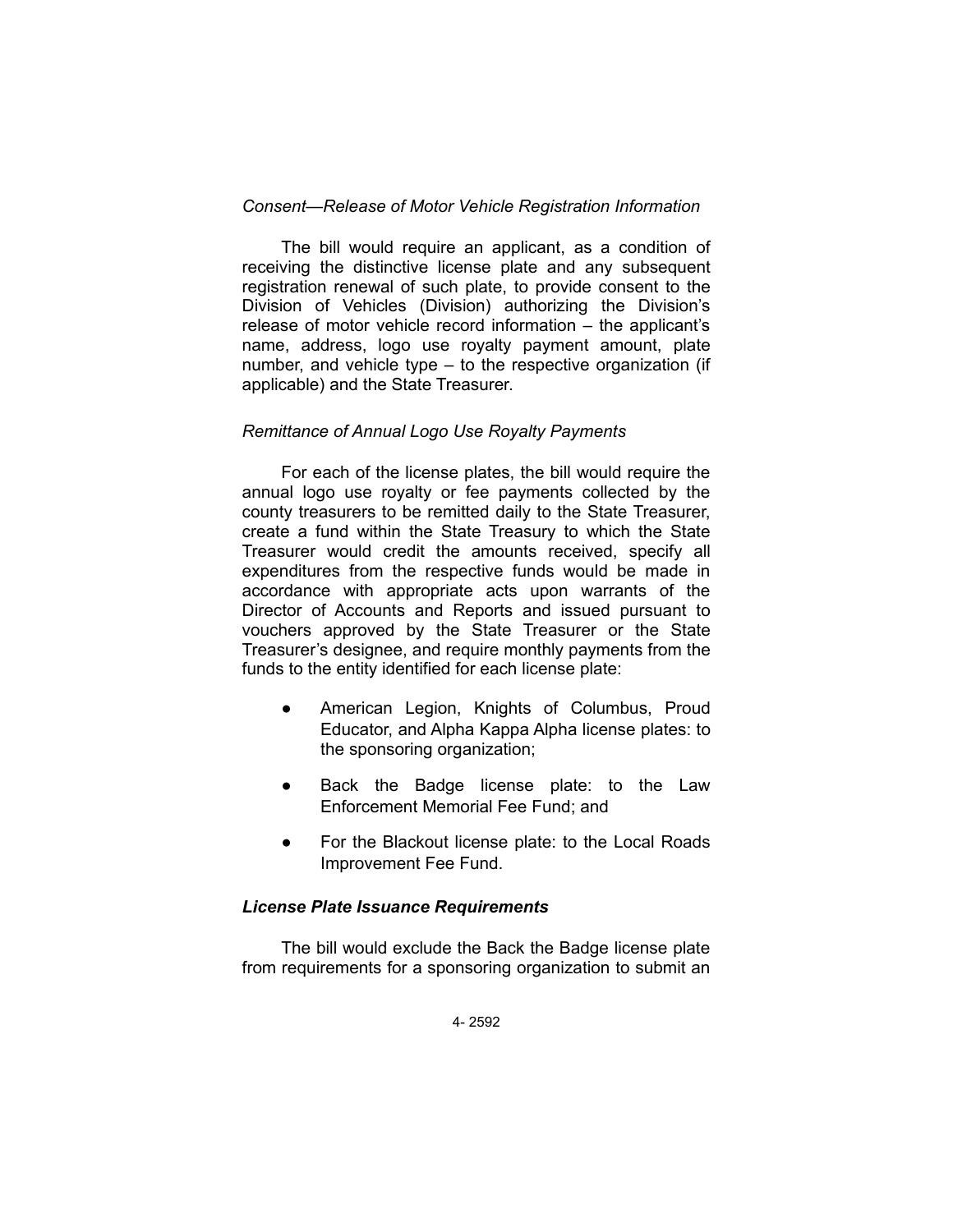## *Consent—Release of Motor Vehicle Registration Information*

The bill would require an applicant, as a condition of receiving the distinctive license plate and any subsequent registration renewal of such plate, to provide consent to the Division of Vehicles (Division) authorizing the Division's release of motor vehicle record information – the applicant's name, address, logo use royalty payment amount, plate number, and vehicle type – to the respective organization (if applicable) and the State Treasurer.

#### *Remittance of Annual Logo Use Royalty Payments*

For each of the license plates, the bill would require the annual logo use royalty or fee payments collected by the county treasurers to be remitted daily to the State Treasurer, create a fund within the State Treasury to which the State Treasurer would credit the amounts received, specify all expenditures from the respective funds would be made in accordance with appropriate acts upon warrants of the Director of Accounts and Reports and issued pursuant to vouchers approved by the State Treasurer or the State Treasurer's designee, and require monthly payments from the funds to the entity identified for each license plate:

- American Legion, Knights of Columbus, Proud Educator, and Alpha Kappa Alpha license plates: to the sponsoring organization;
- Back the Badge license plate: to the Law Enforcement Memorial Fee Fund; and
- For the Blackout license plate: to the Local Roads Improvement Fee Fund.

#### *License Plate Issuance Requirements*

The bill would exclude the Back the Badge license plate from requirements for a sponsoring organization to submit an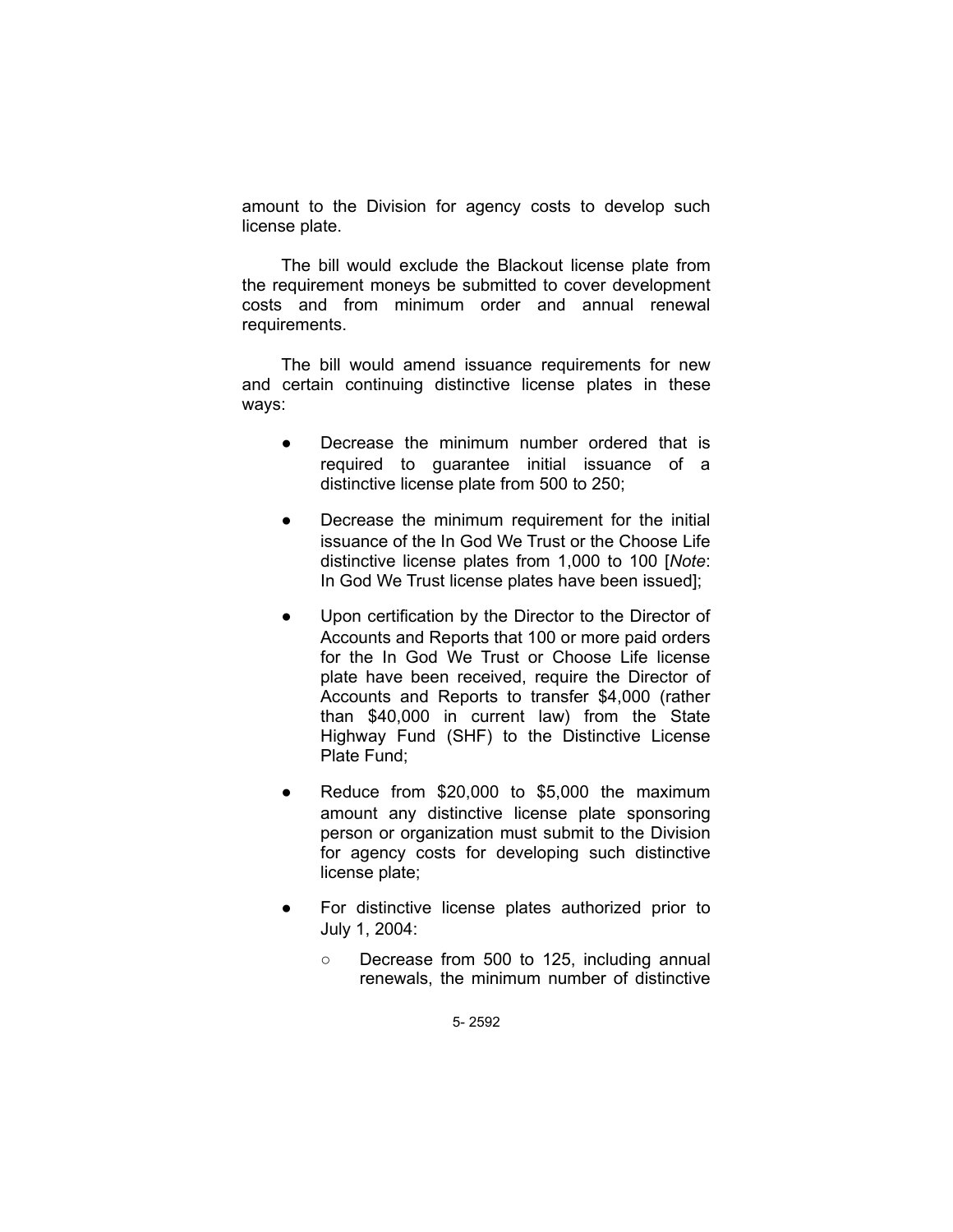amount to the Division for agency costs to develop such license plate.

The bill would exclude the Blackout license plate from the requirement moneys be submitted to cover development costs and from minimum order and annual renewal requirements.

The bill would amend issuance requirements for new and certain continuing distinctive license plates in these ways:

- Decrease the minimum number ordered that is required to guarantee initial issuance of a distinctive license plate from 500 to 250;
- Decrease the minimum requirement for the initial issuance of the In God We Trust or the Choose Life distinctive license plates from 1,000 to 100 [*Note*: In God We Trust license plates have been issued];
- Upon certification by the Director to the Director of Accounts and Reports that 100 or more paid orders for the In God We Trust or Choose Life license plate have been received, require the Director of Accounts and Reports to transfer \$4,000 (rather than \$40,000 in current law) from the State Highway Fund (SHF) to the Distinctive License Plate Fund;
- Reduce from  $$20,000$  to  $$5,000$  the maximum amount any distinctive license plate sponsoring person or organization must submit to the Division for agency costs for developing such distinctive license plate;
- For distinctive license plates authorized prior to July 1, 2004:
	- Decrease from 500 to 125, including annual renewals, the minimum number of distinctive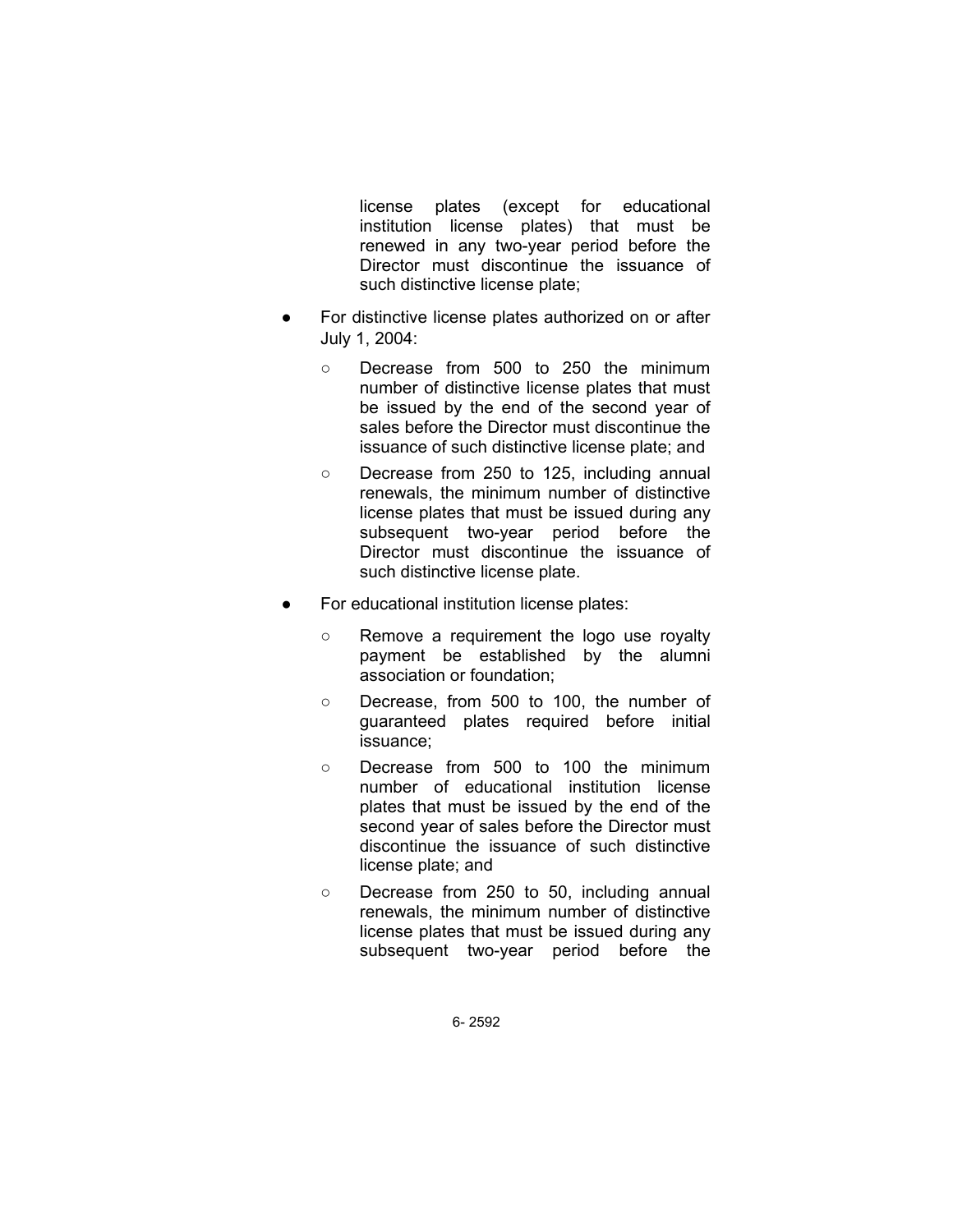license plates (except for educational institution license plates) that must be renewed in any two-year period before the Director must discontinue the issuance of such distinctive license plate;

- For distinctive license plates authorized on or after July 1, 2004:
	- Decrease from 500 to 250 the minimum number of distinctive license plates that must be issued by the end of the second year of sales before the Director must discontinue the issuance of such distinctive license plate; and
	- Decrease from 250 to 125, including annual renewals, the minimum number of distinctive license plates that must be issued during any subsequent two-year period before the Director must discontinue the issuance of such distinctive license plate.
- For educational institution license plates:
	- Remove a requirement the logo use royalty payment be established by the alumni association or foundation;
	- Decrease, from 500 to 100, the number of guaranteed plates required before initial issuance;
	- Decrease from 500 to 100 the minimum number of educational institution license plates that must be issued by the end of the second year of sales before the Director must discontinue the issuance of such distinctive license plate; and
	- Decrease from 250 to 50, including annual renewals, the minimum number of distinctive license plates that must be issued during any subsequent two-year period before the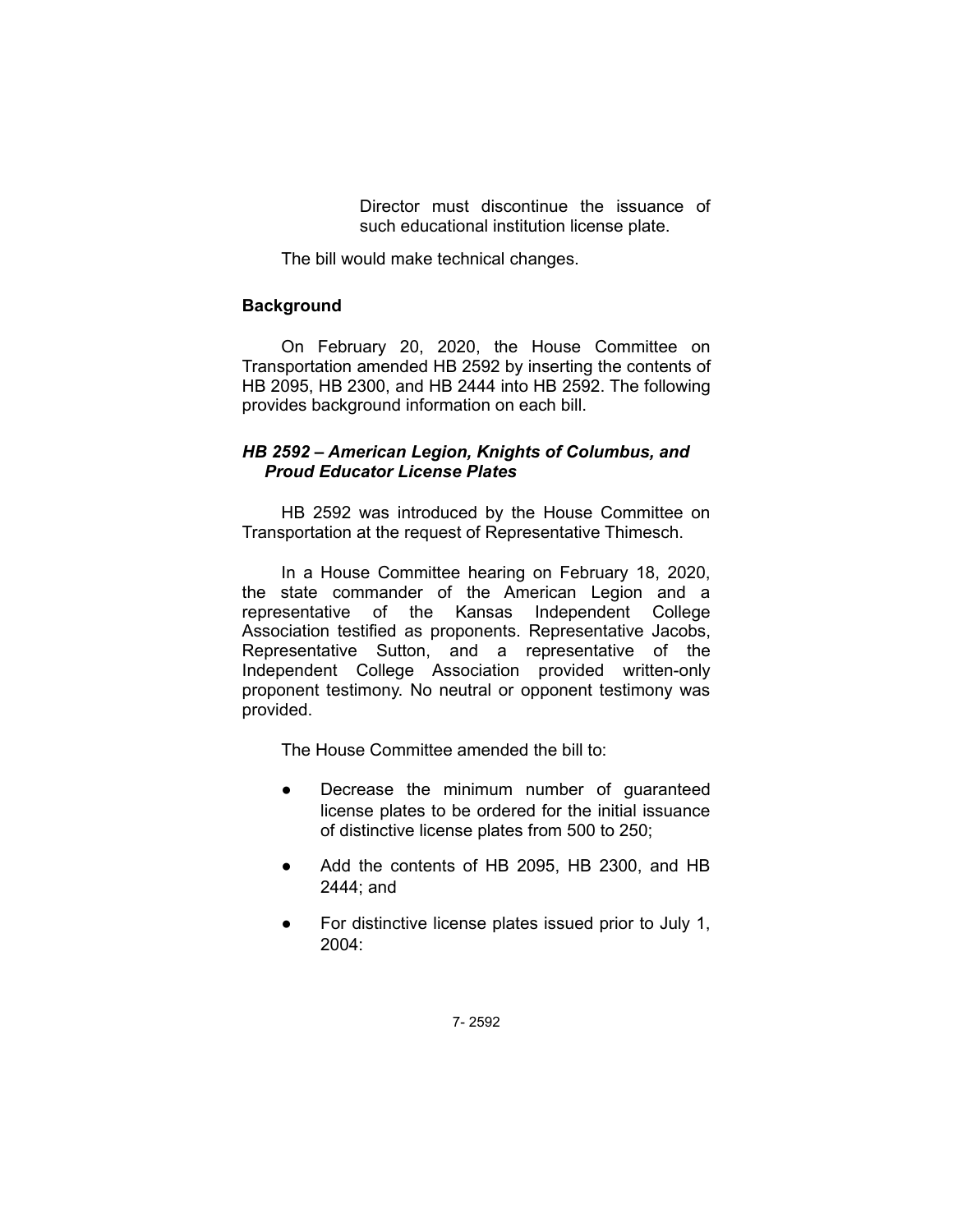Director must discontinue the issuance of such educational institution license plate.

The bill would make technical changes.

## **Background**

On February 20, 2020, the House Committee on Transportation amended HB 2592 by inserting the contents of HB 2095, HB 2300, and HB 2444 into HB 2592. The following provides background information on each bill.

## *HB 2592 – American Legion, Knights of Columbus, and Proud Educator License Plates*

HB 2592 was introduced by the House Committee on Transportation at the request of Representative Thimesch.

In a House Committee hearing on February 18, 2020, the state commander of the American Legion and a representative of the Kansas Independent College Association testified as proponents. Representative Jacobs, Representative Sutton, and a representative of the Independent College Association provided written-only proponent testimony. No neutral or opponent testimony was provided.

The House Committee amended the bill to:

- Decrease the minimum number of guaranteed license plates to be ordered for the initial issuance of distinctive license plates from 500 to 250;
- Add the contents of HB 2095, HB 2300, and HB 2444; and
- For distinctive license plates issued prior to July 1, 2004: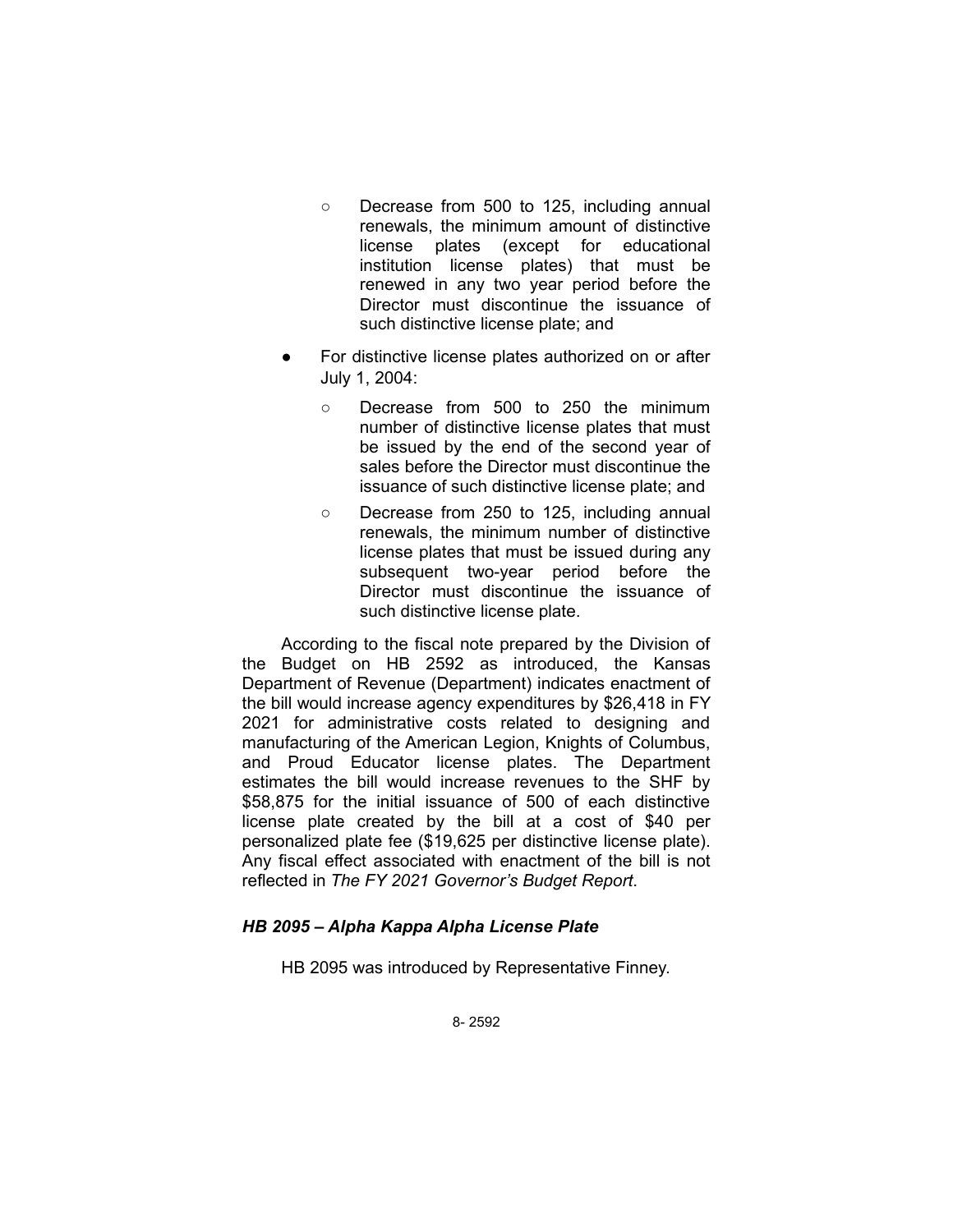- Decrease from 500 to 125, including annual renewals, the minimum amount of distinctive license plates (except for educational institution license plates) that must be renewed in any two year period before the Director must discontinue the issuance of such distinctive license plate; and
- For distinctive license plates authorized on or after July 1, 2004:
	- Decrease from 500 to 250 the minimum number of distinctive license plates that must be issued by the end of the second year of sales before the Director must discontinue the issuance of such distinctive license plate; and
	- Decrease from 250 to 125, including annual renewals, the minimum number of distinctive license plates that must be issued during any subsequent two-year period before the Director must discontinue the issuance of such distinctive license plate.

According to the fiscal note prepared by the Division of the Budget on HB 2592 as introduced, the Kansas Department of Revenue (Department) indicates enactment of the bill would increase agency expenditures by \$26,418 in FY 2021 for administrative costs related to designing and manufacturing of the American Legion, Knights of Columbus, and Proud Educator license plates. The Department estimates the bill would increase revenues to the SHF by \$58,875 for the initial issuance of 500 of each distinctive license plate created by the bill at a cost of \$40 per personalized plate fee (\$19,625 per distinctive license plate). Any fiscal effect associated with enactment of the bill is not reflected in *The FY 2021 Governor's Budget Report*.

## *HB 2095 – Alpha Kappa Alpha License Plate*

HB 2095 was introduced by Representative Finney.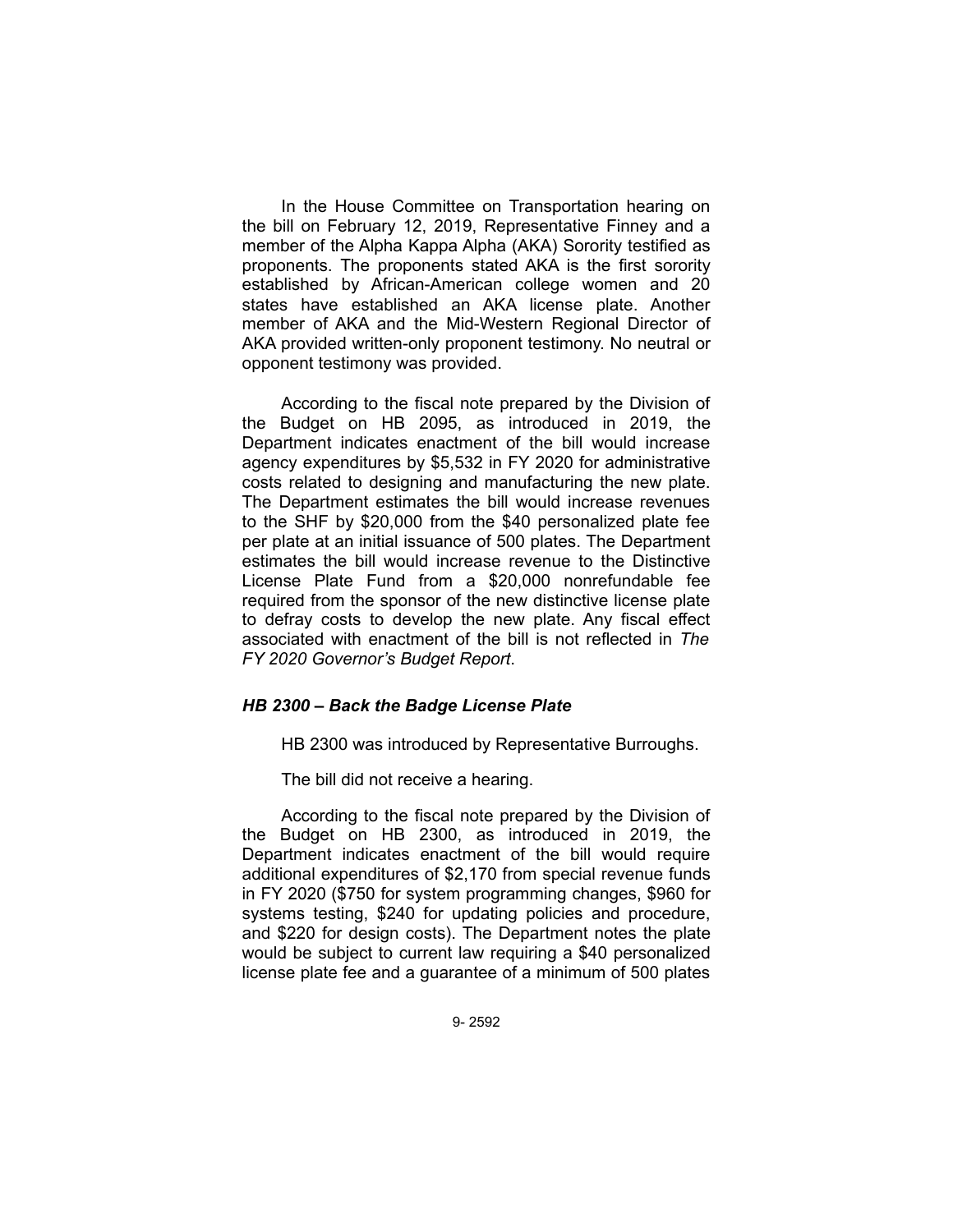In the House Committee on Transportation hearing on the bill on February 12, 2019, Representative Finney and a member of the Alpha Kappa Alpha (AKA) Sorority testified as proponents. The proponents stated AKA is the first sorority established by African-American college women and 20 states have established an AKA license plate. Another member of AKA and the Mid-Western Regional Director of AKA provided written-only proponent testimony. No neutral or opponent testimony was provided.

According to the fiscal note prepared by the Division of the Budget on HB 2095, as introduced in 2019, the Department indicates enactment of the bill would increase agency expenditures by \$5,532 in FY 2020 for administrative costs related to designing and manufacturing the new plate. The Department estimates the bill would increase revenues to the SHF by \$20,000 from the \$40 personalized plate fee per plate at an initial issuance of 500 plates. The Department estimates the bill would increase revenue to the Distinctive License Plate Fund from a \$20,000 nonrefundable fee required from the sponsor of the new distinctive license plate to defray costs to develop the new plate. Any fiscal effect associated with enactment of the bill is not reflected in *The FY 2020 Governor's Budget Report*.

## *HB 2300 – Back the Badge License Plate*

HB 2300 was introduced by Representative Burroughs.

The bill did not receive a hearing.

According to the fiscal note prepared by the Division of the Budget on HB 2300, as introduced in 2019, the Department indicates enactment of the bill would require additional expenditures of \$2,170 from special revenue funds in FY 2020 (\$750 for system programming changes, \$960 for systems testing, \$240 for updating policies and procedure, and \$220 for design costs). The Department notes the plate would be subject to current law requiring a \$40 personalized license plate fee and a guarantee of a minimum of 500 plates